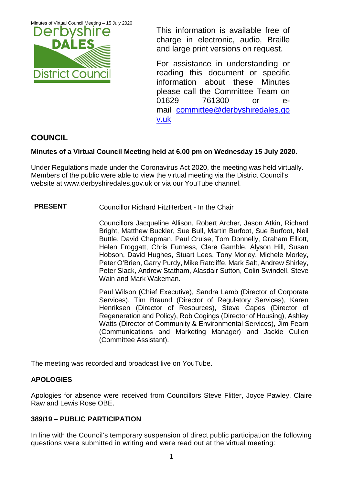Minutes of Virtual Council Meeting – 15 July 2020



This information is available free of charge in electronic, audio, Braille and large print versions on request.

For assistance in understanding or reading this document or specific information about these Minutes please call the Committee Team on 01629 761300 or email [committee@derbyshiredales.go](mailto:brian.evans@derbyshiredales.gov.uk) [v.uk](mailto:brian.evans@derbyshiredales.gov.uk) 

# **COUNCIL**

## **Minutes of a Virtual Council Meeting held at 6.00 pm on Wednesday 15 July 2020.**

Under Regulations made under the Coronavirus Act 2020, the meeting was held virtually. Members of the public were able to view the virtual meeting via the District Council's website at [www.derbyshiredales.gov.uk](http://www.derbyshiredales.gov.uk/) or via our YouTube channel.

### **PRESENT** Councillor Richard FitzHerbert - In the Chair

Councillors Jacqueline Allison, Robert Archer, Jason Atkin, Richard Bright, Matthew Buckler, Sue Bull, Martin Burfoot, Sue Burfoot, Neil Buttle, David Chapman, Paul Cruise, Tom Donnelly, Graham Elliott, Helen Froggatt, Chris Furness, Clare Gamble, Alyson Hill, Susan Hobson, David Hughes, Stuart Lees, Tony Morley, Michele Morley, Peter O'Brien, Garry Purdy, Mike Ratcliffe, Mark Salt, Andrew Shirley, Peter Slack, Andrew Statham, Alasdair Sutton, Colin Swindell, Steve Wain and Mark Wakeman.

Paul Wilson (Chief Executive), Sandra Lamb (Director of Corporate Services), Tim Braund (Director of Regulatory Services), Karen Henriksen (Director of Resources), Steve Capes (Director of Regeneration and Policy), Rob Cogings (Director of Housing), Ashley Watts (Director of Community & Environmental Services), Jim Fearn (Communications and Marketing Manager) and Jackie Cullen (Committee Assistant).

The meeting was recorded and broadcast live on YouTube.

### **APOLOGIES**

Apologies for absence were received from Councillors Steve Flitter, Joyce Pawley, Claire Raw and Lewis Rose OBE.

### **389/19 – PUBLIC PARTICIPATION**

In line with the Council's temporary suspension of direct public participation the following questions were submitted in writing and were read out at the virtual meeting: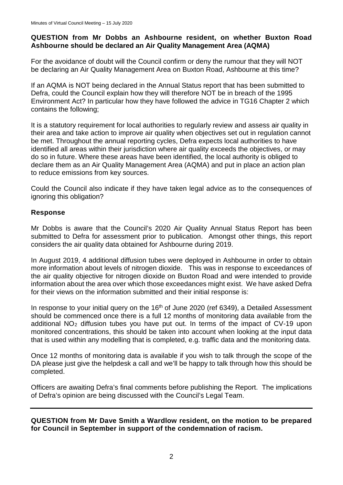#### **QUESTION from Mr Dobbs an Ashbourne resident, on whether Buxton Road Ashbourne should be declared an Air Quality Management Area (AQMA)**

For the avoidance of doubt will the Council confirm or deny the rumour that they will NOT be declaring an Air Quality Management Area on Buxton Road, Ashbourne at this time?

If an AQMA is NOT being declared in the Annual Status report that has been submitted to Defra, could the Council explain how they will therefore NOT be in breach of the 1995 Environment Act? In particular how they have followed the advice in TG16 Chapter 2 which contains the following;

It is a statutory requirement for local authorities to regularly review and assess air quality in their area and take action to improve air quality when objectives set out in regulation cannot be met. Throughout the annual reporting cycles, Defra expects local authorities to have identified all areas within their jurisdiction where air quality exceeds the objectives, or may do so in future. Where these areas have been identified, the local authority is obliged to declare them as an Air Quality Management Area (AQMA) and put in place an action plan to reduce emissions from key sources.

Could the Council also indicate if they have taken legal advice as to the consequences of ignoring this obligation?

#### **Response**

Mr Dobbs is aware that the Council's 2020 Air Quality Annual Status Report has been submitted to Defra for assessment prior to publication. Amongst other things, this report considers the air quality data obtained for Ashbourne during 2019.

In August 2019, 4 additional diffusion tubes were deployed in Ashbourne in order to obtain more information about levels of nitrogen dioxide. This was in response to exceedances of the air quality objective for nitrogen dioxide on Buxton Road and were intended to provide information about the area over which those exceedances might exist. We have asked Defra for their views on the information submitted and their initial response is:

In response to your initial query on the  $16<sup>th</sup>$  of June 2020 (ref 6349), a Detailed Assessment should be commenced once there is a full 12 months of monitoring data available from the additional NO2 diffusion tubes you have put out. In terms of the impact of CV-19 upon monitored concentrations, this should be taken into account when looking at the input data that is used within any modelling that is completed, e.g. traffic data and the monitoring data.

Once 12 months of monitoring data is available if you wish to talk through the scope of the DA please just give the helpdesk a call and we'll be happy to talk through how this should be completed.

Officers are awaiting Defra's final comments before publishing the Report. The implications of Defra's opinion are being discussed with the Council's Legal Team.

#### **QUESTION from Mr Dave Smith a Wardlow resident, on the motion to be prepared for Council in September in support of the condemnation of racism.**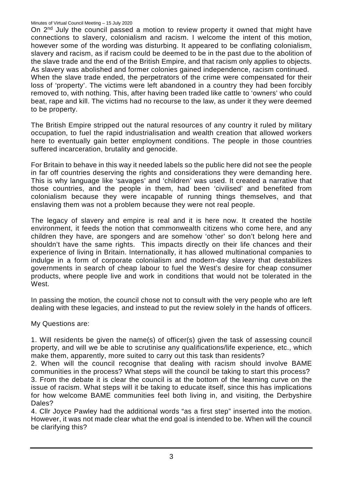#### Minutes of Virtual Council Meeting – 15 July 2020

On 2<sup>nd</sup> July the council passed a motion to review property it owned that might have connections to slavery, colonialism and racism. I welcome the intent of this motion, however some of the wording was disturbing. It appeared to be conflating colonialism, slavery and racism, as if racism could be deemed to be in the past due to the abolition of the slave trade and the end of the British Empire, and that racism only applies to objects. As slavery was abolished and former colonies gained independence, racism continued. When the slave trade ended, the perpetrators of the crime were compensated for their loss of 'property'. The victims were left abandoned in a country they had been forcibly removed to, with nothing. This, after having been traded like cattle to 'owners' who could beat, rape and kill. The victims had no recourse to the law, as under it they were deemed to be property.

The British Empire stripped out the natural resources of any country it ruled by military occupation, to fuel the rapid industrialisation and wealth creation that allowed workers here to eventually gain better employment conditions. The people in those countries suffered incarceration, brutality and genocide.

For Britain to behave in this way it needed labels so the public here did not see the people in far off countries deserving the rights and considerations they were demanding here. This is why language like 'savages' and 'children' was used. It created a narrative that those countries, and the people in them, had been 'civilised' and benefited from colonialism because they were incapable of running things themselves, and that enslaving them was not a problem because they were not real people.

The legacy of slavery and empire is real and it is here now. It created the hostile environment, it feeds the notion that commonwealth citizens who come here, and any children they have, are spongers and are somehow 'other' so don't belong here and shouldn't have the same rights. This impacts directly on their life chances and their experience of living in Britain. Internationally, it has allowed multinational companies to indulge in a form of corporate colonialism and modern-day slavery that destabilizes governments in search of cheap labour to fuel the West's desire for cheap consumer products, where people live and work in conditions that would not be tolerated in the West.

In passing the motion, the council chose not to consult with the very people who are left dealing with these legacies, and instead to put the review solely in the hands of officers.

My Questions are:

1. Will residents be given the name(s) of officer(s) given the task of assessing council property, and will we be able to scrutinise any qualifications/life experience, etc., which make them, apparently, more suited to carry out this task than residents?

2. When will the council recognise that dealing with racism should involve BAME communities in the process? What steps will the council be taking to start this process? 3. From the debate it is clear the council is at the bottom of the learning curve on the issue of racism. What steps will it be taking to educate itself, since this has implications for how welcome BAME communities feel both living in, and visiting, the Derbyshire Dales?

4. Cllr Joyce Pawley had the additional words "as a first step" inserted into the motion. However, it was not made clear what the end goal is intended to be. When will the council be clarifying this?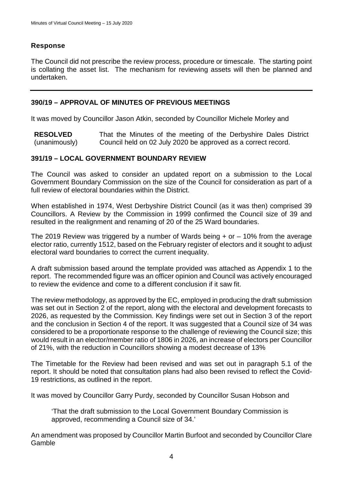## **Response**

The Council did not prescribe the review process, procedure or timescale. The starting point is collating the asset list. The mechanism for reviewing assets will then be planned and undertaken.

#### **390/19 – APPROVAL OF MINUTES OF PREVIOUS MEETINGS**

It was moved by Councillor Jason Atkin, seconded by Councillor Michele Morley and

**RESOLVED** (unanimously) That the Minutes of the meeting of the Derbyshire Dales District Council held on 02 July 2020 be approved as a correct record.

#### **391/19 – LOCAL GOVERNMENT BOUNDARY REVIEW**

The Council was asked to consider an updated report on a submission to the Local Government Boundary Commission on the size of the Council for consideration as part of a full review of electoral boundaries within the District.

When established in 1974, West Derbyshire District Council (as it was then) comprised 39 Councillors. A Review by the Commission in 1999 confirmed the Council size of 39 and resulted in the realignment and renaming of 20 of the 25 Ward boundaries.

The 2019 Review was triggered by a number of Wards being  $+$  or  $-$  10% from the average elector ratio, currently 1512, based on the February register of electors and it sought to adjust electoral ward boundaries to correct the current inequality.

A draft submission based around the template provided was attached as Appendix 1 to the report. The recommended figure was an officer opinion and Council was actively encouraged to review the evidence and come to a different conclusion if it saw fit.

The review methodology, as approved by the EC, employed in producing the draft submission was set out in Section 2 of the report, along with the electoral and development forecasts to 2026, as requested by the Commission. Key findings were set out in Section 3 of the report and the conclusion in Section 4 of the report. It was suggested that a Council size of 34 was considered to be a proportionate response to the challenge of reviewing the Council size; this would result in an elector/member ratio of 1806 in 2026, an increase of electors per Councillor of 21%, with the reduction in Councillors showing a modest decrease of 13%

The Timetable for the Review had been revised and was set out in paragraph 5.1 of the report. It should be noted that consultation plans had also been revised to reflect the Covid-19 restrictions, as outlined in the report.

It was moved by Councillor Garry Purdy, seconded by Councillor Susan Hobson and

'That the draft submission to the Local Government Boundary Commission is approved, recommending a Council size of 34.'

An amendment was proposed by Councillor Martin Burfoot and seconded by Councillor Clare **Gamble**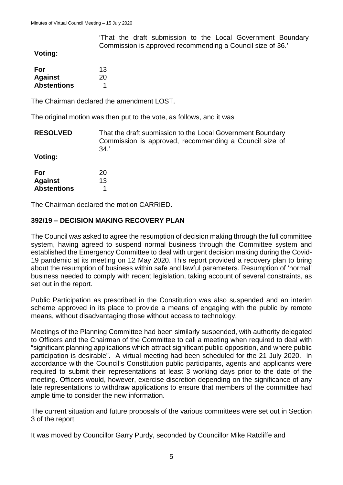'That the draft submission to the Local Government Boundary Commission is approved recommending a Council size of 36.'

**Voting:**

| For                | 13 |
|--------------------|----|
| <b>Against</b>     | 20 |
| <b>Abstentions</b> |    |

The Chairman declared the amendment LOST.

The original motion was then put to the vote, as follows, and it was

**RESOLVED Voting:** That the draft submission to the Local Government Boundary Commission is approved, recommending a Council size of 34.'

| For                | 20 |
|--------------------|----|
| <b>Against</b>     | 13 |
| <b>Abstentions</b> |    |

The Chairman declared the motion CARRIED.

#### **392/19 – DECISION MAKING RECOVERY PLAN**

The Council was asked to agree the resumption of decision making through the full committee system, having agreed to suspend normal business through the Committee system and established the Emergency Committee to deal with urgent decision making during the Covid-19 pandemic at its meeting on 12 May 2020. This report provided a recovery plan to bring about the resumption of business within safe and lawful parameters. Resumption of 'normal' business needed to comply with recent legislation, taking account of several constraints, as set out in the report.

Public Participation as prescribed in the Constitution was also suspended and an interim scheme approved in its place to provide a means of engaging with the public by remote means, without disadvantaging those without access to technology.

Meetings of the Planning Committee had been similarly suspended, with authority delegated to Officers and the Chairman of the Committee to call a meeting when required to deal with "significant planning applications which attract significant public opposition, and where public participation is desirable". A virtual meeting had been scheduled for the 21 July 2020. In accordance with the Council's Constitution public participants, agents and applicants were required to submit their representations at least 3 working days prior to the date of the meeting. Officers would, however, exercise discretion depending on the significance of any late representations to withdraw applications to ensure that members of the committee had ample time to consider the new information.

The current situation and future proposals of the various committees were set out in Section 3 of the report.

It was moved by Councillor Garry Purdy, seconded by Councillor Mike Ratcliffe and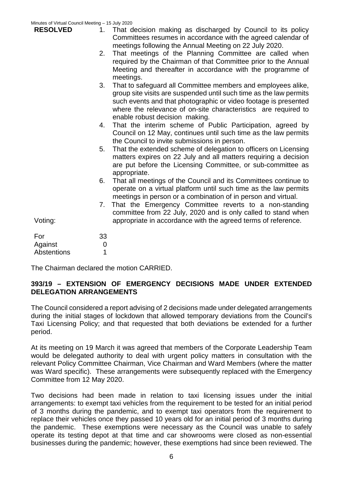| Minutes of Virtual Council Meeting - 15 July 2020 |                             |                                                                                                                                                                                                                                                                                                           |
|---------------------------------------------------|-----------------------------|-----------------------------------------------------------------------------------------------------------------------------------------------------------------------------------------------------------------------------------------------------------------------------------------------------------|
| <b>RESOLVED</b>                                   | 1.                          | That decision making as discharged by Council to its policy<br>Committees resumes in accordance with the agreed calendar of<br>meetings following the Annual Meeting on 22 July 2020.                                                                                                                     |
|                                                   | 2.                          | That meetings of the Planning Committee are called when<br>required by the Chairman of that Committee prior to the Annual<br>Meeting and thereafter in accordance with the programme of<br>meetings.                                                                                                      |
|                                                   | 3.                          | That to safeguard all Committee members and employees alike,<br>group site visits are suspended until such time as the law permits<br>such events and that photographic or video footage is presented<br>where the relevance of on-site characteristics are required to<br>enable robust decision making. |
|                                                   | 4.                          | That the interim scheme of Public Participation, agreed by<br>Council on 12 May, continues until such time as the law permits<br>the Council to invite submissions in person.                                                                                                                             |
|                                                   | 5.                          | That the extended scheme of delegation to officers on Licensing<br>matters expires on 22 July and all matters requiring a decision<br>are put before the Licensing Committee, or sub-committee as<br>appropriate.                                                                                         |
|                                                   | 6.                          | That all meetings of the Council and its Committees continue to<br>operate on a virtual platform until such time as the law permits<br>meetings in person or a combination of in person and virtual.                                                                                                      |
| Voting:                                           | 7.                          | That the Emergency Committee reverts to a non-standing<br>committee from 22 July, 2020 and is only called to stand when<br>appropriate in accordance with the agreed terms of reference.                                                                                                                  |
| For<br>Against<br>Abstentions                     | 33<br>$\boldsymbol{0}$<br>1 |                                                                                                                                                                                                                                                                                                           |
|                                                   |                             |                                                                                                                                                                                                                                                                                                           |

The Chairman declared the motion CARRIED.

#### **393/19 – EXTENSION OF EMERGENCY DECISIONS MADE UNDER EXTENDED DELEGATION ARRANGEMENTS**

The Council considered a report advising of 2 decisions made under delegated arrangements during the initial stages of lockdown that allowed temporary deviations from the Council's Taxi Licensing Policy; and that requested that both deviations be extended for a further period.

At its meeting on 19 March it was agreed that members of the Corporate Leadership Team would be delegated authority to deal with urgent policy matters in consultation with the relevant Policy Committee Chairman, Vice Chairman and Ward Members (where the matter was Ward specific). These arrangements were subsequently replaced with the Emergency Committee from 12 May 2020.

Two decisions had been made in relation to taxi licensing issues under the initial arrangements: to exempt taxi vehicles from the requirement to be tested for an initial period of 3 months during the pandemic, and to exempt taxi operators from the requirement to replace their vehicles once they passed 10 years old for an initial period of 3 months during the pandemic. These exemptions were necessary as the Council was unable to safely operate its testing depot at that time and car showrooms were closed as non-essential businesses during the pandemic; however, these exemptions had since been reviewed. The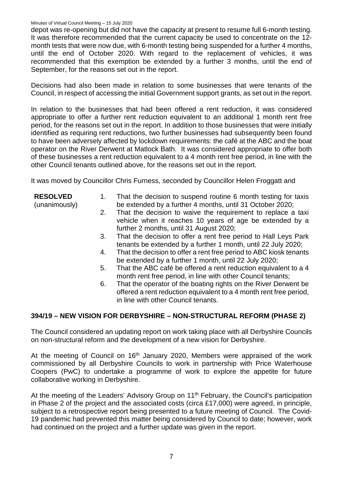#### Minutes of Virtual Council Meeting – 15 July 2020

depot was re-opening but did not have the capacity at present to resume full 6-month testing. It was therefore recommended that the current capacity be used to concentrate on the 12 month tests that were now due, with 6-month testing being suspended for a further 4 months, until the end of October 2020. With regard to the replacement of vehicles, it was recommended that this exemption be extended by a further 3 months, until the end of September, for the reasons set out in the report.

Decisions had also been made in relation to some businesses that were tenants of the Council, in respect of accessing the initial Government support grants, as set out in the report.

In relation to the businesses that had been offered a rent reduction, it was considered appropriate to offer a further rent reduction equivalent to an additional 1 month rent free period, for the reasons set out in the report. In addition to those businesses that were initially identified as requiring rent reductions, two further businesses had subsequently been found to have been adversely affected by lockdown requirements: the café at the ABC and the boat operator on the River Derwent at Matlock Bath. It was considered appropriate to offer both of these businesses a rent reduction equivalent to a 4 month rent free period, in line with the other Council tenants outlined above, for the reasons set out in the report.

It was moved by Councillor Chris Furness, seconded by Councillor Helen Froggatt and

**RESOLVED**

(unanimously)

- 1. That the decision to suspend routine 6 month testing for taxis be extended by a further 4 months, until 31 October 2020;
	- 2. That the decision to waive the requirement to replace a taxi vehicle when it reaches 10 years of age be extended by a further 2 months, until 31 August 2020;
	- 3. That the decision to offer a rent free period to Hall Leys Park tenants be extended by a further 1 month, until 22 July 2020;
	- 4. That the decision to offer a rent free period to ABC kiosk tenants be extended by a further 1 month, until 22 July 2020;
	- 5. That the ABC café be offered a rent reduction equivalent to a 4 month rent free period, in line with other Council tenants;
	- 6. That the operator of the boating rights on the River Derwent be offered a rent reduction equivalent to a 4 month rent free period, in line with other Council tenants.

### **394/19 – NEW VISION FOR DERBYSHIRE – NON-STRUCTURAL REFORM (PHASE 2)**

The Council considered an updating report on work taking place with all Derbyshire Councils on non-structural reform and the development of a new vision for Derbyshire.

At the meeting of Council on  $16<sup>th</sup>$  January 2020, Members were appraised of the work commissioned by all Derbyshire Councils to work in partnership with Price Waterhouse Coopers (PwC) to undertake a programme of work to explore the appetite for future collaborative working in Derbyshire.

At the meeting of the Leaders' Advisory Group on 11<sup>th</sup> February, the Council's participation in Phase 2 of the project and the associated costs (circa £17,000) were agreed, in principle, subject to a retrospective report being presented to a future meeting of Council. The Covid-19 pandemic had prevented this matter being considered by Council to date; however, work had continued on the project and a further update was given in the report.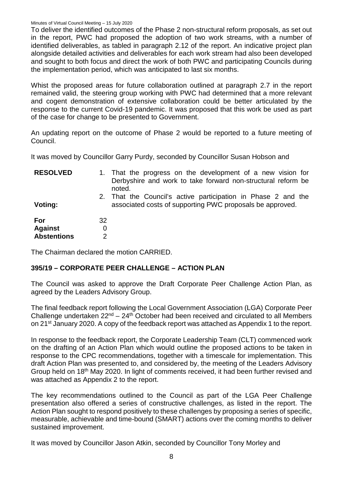To deliver the identified outcomes of the Phase 2 non-structural reform proposals, as set out in the report, PWC had proposed the adoption of two work streams, with a number of identified deliverables, as tabled in paragraph 2.12 of the report. An indicative project plan alongside detailed activities and deliverables for each work stream had also been developed and sought to both focus and direct the work of both PWC and participating Councils during the implementation period, which was anticipated to last six months.

Whist the proposed areas for future collaboration outlined at paragraph 2.7 in the report remained valid, the steering group working with PWC had determined that a more relevant and cogent demonstration of extensive collaboration could be better articulated by the response to the current Covid-19 pandemic. It was proposed that this work be used as part of the case for change to be presented to Government.

An updating report on the outcome of Phase 2 would be reported to a future meeting of Council.

It was moved by Councillor Garry Purdy, seconded by Councillor Susan Hobson and

| <b>RESOLVED</b>                             |              | 1. That the progress on the development of a new vision for<br>Derbyshire and work to take forward non-structural reform be<br>noted. |
|---------------------------------------------|--------------|---------------------------------------------------------------------------------------------------------------------------------------|
| Voting:                                     |              | 2. That the Council's active participation in Phase 2 and the<br>associated costs of supporting PWC proposals be approved.            |
| For<br><b>Against</b><br><b>Abstentions</b> | 32<br>0<br>2 |                                                                                                                                       |

The Chairman declared the motion CARRIED.

#### **395/19 – CORPORATE PEER CHALLENGE – ACTION PLAN**

The Council was asked to approve the Draft Corporate Peer Challenge Action Plan, as agreed by the Leaders Advisory Group.

The final feedback report following the Local Government Association (LGA) Corporate Peer Challenge undertaken  $22^{nd} - 24^{th}$  October had been received and circulated to all Members on 21st January 2020. A copy of the feedback report was attached as Appendix 1 to the report.

In response to the feedback report, the Corporate Leadership Team (CLT) commenced work on the drafting of an Action Plan which would outline the proposed actions to be taken in response to the CPC recommendations, together with a timescale for implementation. This draft Action Plan was presented to, and considered by, the meeting of the Leaders Advisory Group held on 18th May 2020. In light of comments received, it had been further revised and was attached as Appendix 2 to the report.

The key recommendations outlined to the Council as part of the LGA Peer Challenge presentation also offered a series of constructive challenges, as listed in the report. The Action Plan sought to respond positively to these challenges by proposing a series of specific, measurable, achievable and time-bound (SMART) actions over the coming months to deliver sustained improvement.

It was moved by Councillor Jason Atkin, seconded by Councillor Tony Morley and